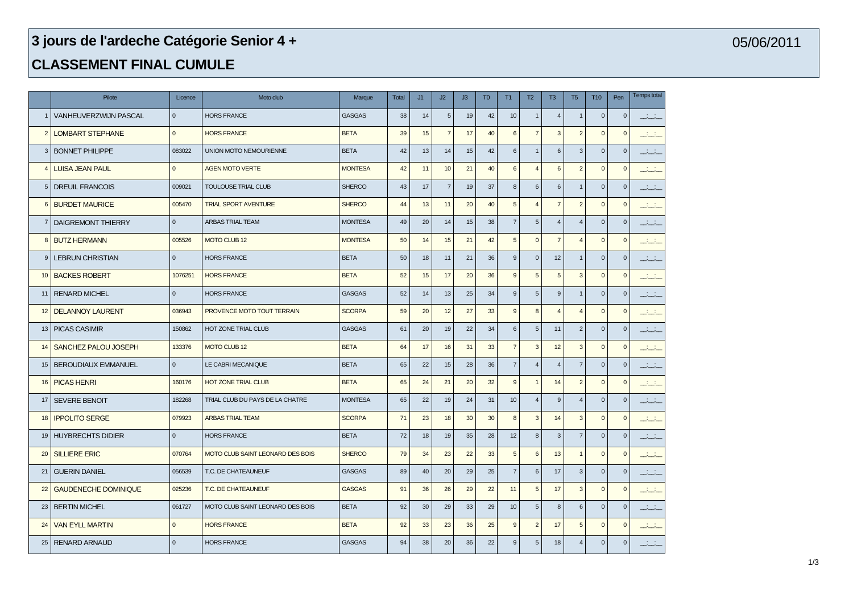## **jours de l'ardeche Catégorie Senior 4 +**

## **CLASSEMENT FINAL CUMULE**

|                | Pilote                       | Licence      | Moto club                        | Marque         | <b>Total</b> | J1 | J2             | J3 | T <sub>0</sub> | T1               | T2              | T <sub>3</sub>   | T <sub>5</sub> | T <sub>10</sub> | Pen          | <b>Temps total</b>  |
|----------------|------------------------------|--------------|----------------------------------|----------------|--------------|----|----------------|----|----------------|------------------|-----------------|------------------|----------------|-----------------|--------------|---------------------|
|                | <b>VANHEUVERZWIJN PASCAL</b> | $\mathbf{0}$ | <b>HORS FRANCE</b>               | <b>GASGAS</b>  | 38           | 14 | 5              | 19 | 42             | 10               | $\overline{1}$  | $\overline{4}$   | $\mathbf 1$    | $\mathbf{0}$    | $\mathbf 0$  | للقطف               |
| $\overline{2}$ | <b>LOMBART STEPHANE</b>      | $\mathbf{0}$ | <b>HORS FRANCE</b>               | <b>BETA</b>    | 39           | 15 | $\overline{7}$ | 17 | 40             | $6\phantom{a}$   | $\overline{7}$  | $\mathbf{3}$     | $\overline{2}$ | $\mathbf{0}$    | $\mathbf{0}$ | المنتقب             |
|                | 3   BONNET PHILIPPE          | 083022       | <b>UNION MOTO NEMOURIENNE</b>    | <b>BETA</b>    | 42           | 13 | 14             | 15 | 42             | $\,6\,$          | $\overline{1}$  | $6\phantom{1}$   | 3 <sup>1</sup> | $\mathbf 0$     | $\mathbf 0$  | التنافث             |
| $\overline{4}$ | <b>LUISA JEAN PAUL</b>       | $\mathbf{0}$ | <b>AGEN MOTO VERTE</b>           | <b>MONTESA</b> | 42           | 11 | 10             | 21 | 40             | $6\phantom{1}$   | $\overline{4}$  | 6                | $\overline{2}$ | $\mathbf{0}$    | $\mathbf{0}$ | $-1 - 1$            |
| 5              | <b>DREUIL FRANCOIS</b>       | 009021       | <b>TOULOUSE TRIAL CLUB</b>       | <b>SHERCO</b>  | 43           | 17 | $\overline{7}$ | 19 | 37             | $\boldsymbol{8}$ | $6\phantom{1}6$ | 6                | $\mathbf{1}$   | $\mathbf 0$     | $\mathbf{0}$ | المناسب             |
| 6              | <b>BURDET MAURICE</b>        | 005470       | <b>TRIAL SPORT AVENTURE</b>      | <b>SHERCO</b>  | 44           | 13 | 11             | 20 | 40             | $\overline{5}$   | $\overline{4}$  | $\overline{7}$   | $\overline{2}$ | $\mathbf 0$     | $\mathbf{0}$ | للقناف              |
| 7              | DAIGREMONT THIERRY           | $\mathbf{0}$ | ARBAS TRIAL TEAM                 | <b>MONTESA</b> | 49           | 20 | 14             | 15 | 38             | $\overline{7}$   | 5               | $\overline{4}$   | $\overline{4}$ | $\mathbf 0$     | $\mathbf 0$  | المنافث             |
| 8              | <b>BUTZ HERMANN</b>          | 005526       | <b>MOTO CLUB 12</b>              | <b>MONTESA</b> | 50           | 14 | 15             | 21 | 42             | $\overline{5}$   | $\overline{0}$  | $\overline{7}$   | $\overline{4}$ | $\mathbf{0}$    | $\mathbf{0}$ | $-1 - 1$            |
| 9              | <b>LEBRUN CHRISTIAN</b>      | $\mathbf 0$  | <b>HORS FRANCE</b>               | <b>BETA</b>    | 50           | 18 | 11             | 21 | 36             | $9\,$            | $\mathbf 0$     | 12               | $\mathbf{1}$   | $\mathbf 0$     | $\mathbf 0$  | التفتيق             |
| 10             | <b>BACKES ROBERT</b>         | 1076251      | <b>HORS FRANCE</b>               | <b>BETA</b>    | 52           | 15 | 17             | 20 | 36             | $\overline{9}$   | 5               | $\overline{5}$   | 3              | $\mathbf{0}$    | $\mathbf{0}$ | التفتت              |
| 11             | <b>RENARD MICHEL</b>         | $\mathbf 0$  | <b>HORS FRANCE</b>               | <b>GASGAS</b>  | 52           | 14 | 13             | 25 | 34             | $9\,$            | 5               | $\boldsymbol{9}$ | 1              | $\mathbf 0$     | $\mathbf 0$  | التفات              |
| 12             | <b>DELANNOY LAURENT</b>      | 036943       | PROVENCE MOTO TOUT TERRAIN       | <b>SCORPA</b>  | 59           | 20 | 12             | 27 | 33             | $\overline{9}$   | 8               | $\overline{4}$   | $\overline{4}$ | $\mathbf 0$     | $\mathbf{0}$ | $-1 - 1$            |
| 13             | <b>PICAS CASIMIR</b>         | 150862       | HOT ZONE TRIAL CLUB              | <b>GASGAS</b>  | 61           | 20 | 19             | 22 | 34             | $\,6\,$          | 5               | 11               | $\overline{2}$ | $\mathbf 0$     | $\mathbf 0$  | $\mathbb{R}$        |
| 14             | SANCHEZ PALOU JOSEPH         | 133376       | <b>MOTO CLUB 12</b>              | <b>BETA</b>    | 64           | 17 | 16             | 31 | 33             | $\overline{7}$   | 3               | 12               | 3              | $\mathbf{0}$    | $\mathbf{0}$ | سنستب               |
| 15             | <b>BEROUDIAUX EMMANUEL</b>   | $\Omega$     | LE CABRI MECANIQUE               | <b>BETA</b>    | 65           | 22 | 15             | 28 | 36             | $\overline{7}$   | $\overline{4}$  | $\overline{4}$   | $\overline{7}$ | $\mathbf{0}$    | $\mathbf{0}$ | المناسب             |
| 16             | <b>PICAS HENRI</b>           | 160176       | <b>HOT ZONE TRIAL CLUB</b>       | <b>BETA</b>    | 65           | 24 | 21             | 20 | 32             | $\overline{9}$   | $\overline{1}$  | 14               | $\overline{2}$ | $\mathbf{0}$    | $\mathbf{0}$ | المنتقب             |
| 17             | <b>SEVERE BENOIT</b>         | 182268       | TRIAL CLUB DU PAYS DE LA CHATRE  | <b>MONTESA</b> | 65           | 22 | 19             | 24 | 31             | 10               | $\overline{A}$  | $\mathbf{g}$     | $\overline{4}$ | $\mathbf{0}$    | $\mathbf{0}$ | <u>in the set</u>   |
| 18             | <b>IPPOLITO SERGE</b>        | 079923       | <b>ARBAS TRIAL TEAM</b>          | <b>SCORPA</b>  | 71           | 23 | 18             | 30 | 30             | 8                | 3               | 14               | 3              | $\mathbf{0}$    | $\mathbf{0}$ | المنتقب             |
| 19             | <b>HUYBRECHTS DIDIER</b>     | $\Omega$     | <b>HORS FRANCE</b>               | <b>BETA</b>    | 72           | 18 | 19             | 35 | 28             | 12               | 8               | $\mathbf{3}$     | $\overline{7}$ | $\mathbf{0}$    | $\mathbf{0}$ | <u>in the set</u>   |
| 20             | <b>SILLIERE ERIC</b>         | 070764       | MOTO CLUB SAINT LEONARD DES BOIS | <b>SHERCO</b>  | 79           | 34 | 23             | 22 | 33             | $5\phantom{.0}$  | 6               | 13               | $\overline{1}$ | $\mathbf{0}$    | $\mathbf{0}$ | المنتقب             |
| 21             | <b>GUERIN DANIEL</b>         | 056539       | T.C. DE CHATEAUNEUF              | <b>GASGAS</b>  | 89           | 40 | 20             | 29 | 25             | $\overline{7}$   | $6\phantom{1}6$ | 17               | 3              | $\mathbf 0$     | $\mathbf{0}$ | <u>in the state</u> |
| 22             | <b>GAUDENECHE DOMINIQUE</b>  | 025236       | T.C. DE CHATEAUNEUF              | <b>GASGAS</b>  | 91           | 36 | 26             | 29 | 22             | 11               | 5               | 17               | 3              | $\mathbf{0}$    | $\mathbf{0}$ | المنتقب             |
| 23             | <b>BERTIN MICHEL</b>         | 061727       | MOTO CLUB SAINT LEONARD DES BOIS | <b>BETA</b>    | 92           | 30 | 29             | 33 | 29             | 10               | 5               | 8                | 6              | $\mathbf{0}$    | $\mathbf{0}$ | المنافذ             |
| 24             | <b>VAN EYLL MARTIN</b>       | $\mathbf{0}$ | <b>HORS FRANCE</b>               | <b>BETA</b>    | 92           | 33 | 23             | 36 | 25             | 9                | $\overline{2}$  | 17               | 5              | $\mathbf{0}$    | $\mathbf 0$  | المنتقب             |
|                | 25   RENARD ARNAUD           | $\Omega$     | <b>HORS FRANCE</b>               | <b>GASGAS</b>  | 94           | 38 | 20             | 36 | 22             | $\boldsymbol{9}$ | $\sqrt{5}$      | 18               | $\overline{4}$ | $\mathbf{0}$    | $\mathbf{0}$ | <u>in the se</u>    |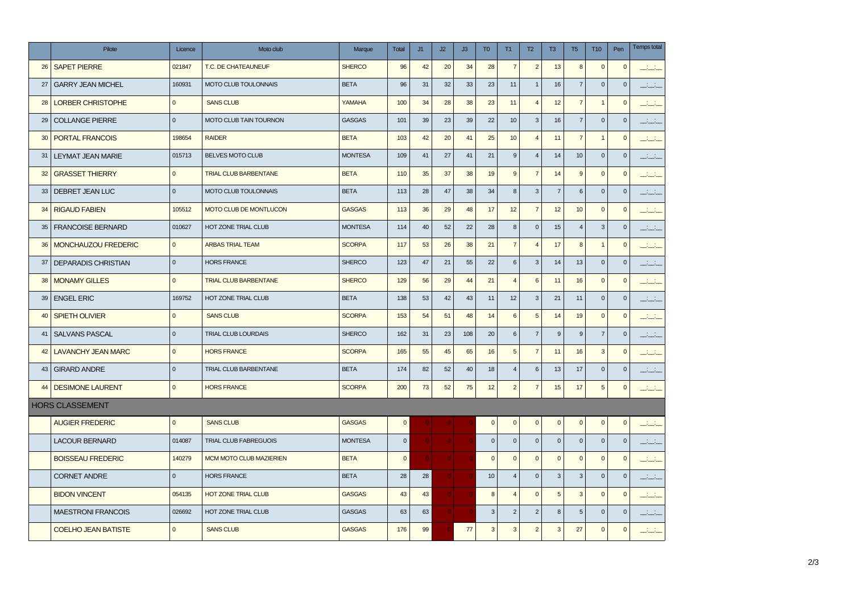|    | Pilote                     | Licence      | Moto club                      | Marque         | <b>Total</b>   | J1           | J2           | J3  | T <sub>0</sub> | T1               | T2             | T <sub>3</sub> | T <sub>5</sub>  | <b>T10</b>     | Pen          | <b>Temps total</b>         |
|----|----------------------------|--------------|--------------------------------|----------------|----------------|--------------|--------------|-----|----------------|------------------|----------------|----------------|-----------------|----------------|--------------|----------------------------|
| 26 | <b>SAPET PIERRE</b>        | 021847       | T.C. DE CHATEAUNEUF            | <b>SHERCO</b>  | 96             | 42           | 20           | 34  | 28             | $\overline{7}$   | $\overline{2}$ | 13             | 8               | $\mathbf 0$    | $\pmb{0}$    | التفاعل                    |
| 27 | <b>GARRY JEAN MICHEL</b>   | 160931       | <b>MOTO CLUB TOULONNAIS</b>    | <b>BETA</b>    | 96             | 31           | 32           | 33  | 23             | 11               | $\overline{1}$ | 16             | $\overline{7}$  | $\mathbf 0$    | $\mathbf 0$  | للفلط                      |
| 28 | <b>LORBER CHRISTOPHE</b>   | $\mathbf{0}$ | <b>SANS CLUB</b>               | YAMAHA         | 100            | 34           | 28           | 38  | 23             | 11               | $\overline{4}$ | 12             | $\overline{7}$  | $\overline{1}$ | $\mathbf 0$  | $\mathcal{L}(\mathcal{C})$ |
| 29 | <b>COLLANGE PIERRE</b>     | $\mathbf{0}$ | MOTO CLUB TAIN TOURNON         | <b>GASGAS</b>  | 101            | 39           | 23           | 39  | 22             | 10               | 3              | 16             | $\overline{7}$  | $\mathbf 0$    | $\mathbf 0$  | المناسب                    |
| 30 | <b>PORTAL FRANCOIS</b>     | 198654       | <b>RAIDER</b>                  | <b>BETA</b>    | 103            | 42           | 20           | 41  | 25             | 10               | $\overline{4}$ | 11             | $\overline{7}$  | $\mathbf{1}$   | $\mathbf{0}$ | $\sim 10$                  |
| 31 | <b>LEYMAT JEAN MARIE</b>   | 015713       | BELVES MOTO CLUB               | <b>MONTESA</b> | 109            | 41           | 27           | 41  | 21             | $\boldsymbol{9}$ | $\overline{4}$ | 14             | 10              | $\mathbf 0$    | $\mathbf 0$  | <b>Barbar</b>              |
| 32 | <b>GRASSET THIERRY</b>     | $\mathbf{0}$ | <b>TRIAL CLUB BARBENTANE</b>   | <b>BETA</b>    | 110            | 35           | 37           | 38  | 19             | 9                | $\overline{7}$ | 14             | 9               | $\mathbf 0$    | $\mathbf 0$  | المناسب                    |
| 33 | <b>DEBRET JEAN LUC</b>     | $\mathbf{0}$ | MOTO CLUB TOULONNAIS           | <b>BETA</b>    | 113            | 28           | 47           | 38  | 34             | 8                | 3              | $\overline{7}$ | 6               | $\mathbf 0$    | $\mathbf 0$  | التناشية                   |
| 34 | <b>RIGAUD FABIEN</b>       | 105512       | MOTO CLUB DE MONTLUCON         | <b>GASGAS</b>  | 113            | 36           | 29           | 48  | 17             | 12               | $\overline{7}$ | 12             | 10              | $\mathbf 0$    | $\mathbf 0$  | $-1 - 1$                   |
| 35 | <b>FRANCOISE BERNARD</b>   | 010627       | HOT ZONE TRIAL CLUB            | <b>MONTESA</b> | 114            | 40           | 52           | 22  | 28             | 8                | $\mathbf 0$    | 15             | $\overline{4}$  | $\mathbf{3}$   | $\mathbf 0$  | المناب                     |
| 36 | MONCHAUZOU FREDERIC        | $\mathbf{0}$ | <b>ARBAS TRIAL TEAM</b>        | <b>SCORPA</b>  | 117            | 53           | 26           | 38  | 21             | $\overline{7}$   | $\overline{4}$ | 17             | 8               | $\mathbf{1}$   | $\mathbf 0$  | $-1 - 1$                   |
| 37 | <b>DEPARADIS CHRISTIAN</b> | $\mathbf{0}$ | <b>HORS FRANCE</b>             | <b>SHERCO</b>  | 123            | 47           | 21           | 55  | 22             | $6\phantom{1}6$  | 3              | 14             | 13              | $\mathbf 0$    | $\mathbf 0$  | المناقب                    |
| 38 | <b>MONAMY GILLES</b>       | $\mathbf{0}$ | <b>TRIAL CLUB BARBENTANE</b>   | <b>SHERCO</b>  | 129            | 56           | 29           | 44  | 21             | $\overline{4}$   | 6              | 11             | 16              | $\mathbf{0}$   | $\mathbf{0}$ | $-1 - 1$                   |
| 39 | <b>ENGEL ERIC</b>          | 169752       | HOT ZONE TRIAL CLUB            | <b>BETA</b>    | 138            | 53           | 42           | 43  | 11             | 12               | 3              | 21             | 11              | $\mathbf 0$    | $\mathbf{0}$ | التناشية                   |
| 40 | <b>SPIETH OLIVIER</b>      | $\mathbf{0}$ | <b>SANS CLUB</b>               | <b>SCORPA</b>  | 153            | 54           | 51           | 48  | 14             | $6\phantom{a}$   | 5              | 14             | 19              | $\mathbf 0$    | $\mathbf 0$  | $-1 - 1$                   |
| 41 | <b>SALVANS PASCAL</b>      | $\mathbf{0}$ | TRIAL CLUB LOURDAIS            | <b>SHERCO</b>  | 162            | 31           | 23           | 108 | 20             | $6\phantom{1}6$  | $\overline{7}$ | 9              | 9               | $\overline{7}$ | $\mathbf 0$  | المناسب                    |
| 42 | <b>LAVANCHY JEAN MARC</b>  | $\mathbf{0}$ | <b>HORS FRANCE</b>             | <b>SCORPA</b>  | 165            | 55           | 45           | 65  | 16             | 5                | $\overline{7}$ | 11             | 16              | $\mathbf{3}$   | $\mathbf{0}$ | <u> 111 - 11</u>           |
| 43 | <b>GIRARD ANDRE</b>        | $\Omega$     | TRIAL CLUB BARBENTANE          | <b>BETA</b>    | 174            | 82           | 52           | 40  | 18             | $\overline{4}$   | $\,6\,$        | 13             | 17              | $\mathbf 0$    | $\mathbf 0$  | المنافذ                    |
| 44 | <b>DESIMONE LAURENT</b>    | $\mathbf{0}$ | <b>HORS FRANCE</b>             | <b>SCORPA</b>  | 200            | 73           | 52           | 75  | 12             | $\overline{2}$   | 7              | 15             | 17              | $\sqrt{5}$     | $\mathbf 0$  | التقطي                     |
|    | <b>HORS CLASSEMENT</b>     |              |                                |                |                |              |              |     |                |                  |                |                |                 |                |              |                            |
|    | <b>AUGIER FREDERIC</b>     | $\mathbf{0}$ | <b>SANS CLUB</b>               | <b>GASGAS</b>  | $\overline{0}$ |              |              |     | $\mathbf 0$    | $\mathbf{0}$     | $\mathbf 0$    | $\mathbf{0}$   | $\mathbf 0$     | $\mathbf 0$    | $\mathbf{0}$ | المنتشب                    |
|    | <b>LACOUR BERNARD</b>      | 014087       | <b>TRIAL CLUB FABREGUOIS</b>   | <b>MONTESA</b> | $\overline{0}$ | $\mathbf{0}$ | $\mathbf{0}$ |     | $\mathbf{0}$   | $\mathbf{0}$     | $\mathbf{0}$   | $\mathbf{0}$   | $\mathbf{0}$    | $\mathbf 0$    | $\mathbf{0}$ | المناب                     |
|    | <b>BOISSEAU FREDERIC</b>   | 140279       | <b>MCM MOTO CLUB MAZIERIEN</b> | <b>BETA</b>    | $\overline{0}$ | $\mathbf{O}$ | $\mathbf{O}$ |     | $\pmb{0}$      | $\mathbf 0$      | $\mathbf 0$    | $\mathbf 0$    | $\mathbf 0$     | $\mathbf 0$    | $\mathbf{0}$ | التقليف                    |
|    | <b>CORNET ANDRE</b>        | $\mathbf{0}$ | <b>HORS FRANCE</b>             | <b>BETA</b>    | 28             | 28           |              |     | 10             | $\overline{4}$   | $\mathbf 0$    | $\mathbf{3}$   | $\mathbf{3}$    | $\mathbf 0$    | $\mathbf 0$  | <u>in 10</u>               |
|    | <b>BIDON VINCENT</b>       | 054135       | <b>HOT ZONE TRIAL CLUB</b>     | <b>GASGAS</b>  | 43             | 43           | $\Omega$     |     | 8              | $\overline{4}$   | $\Omega$       | 5              | 3               | $\mathbf{0}$   | $\mathbf 0$  | <u> 111 - 11</u>           |
|    | <b>MAESTRONI FRANCOIS</b>  | 026692       | HOT ZONE TRIAL CLUB            | <b>GASGAS</b>  | 63             | 63           | $\mathbf{0}$ |     | 3              | $\overline{2}$   | $\overline{2}$ | 8              | $5\phantom{.0}$ | $\mathbf 0$    | $\mathbf 0$  | <b>Barbara</b>             |
|    | <b>COELHO JEAN BATISTE</b> | $\Omega$     | <b>SANS CLUB</b>               | <b>GASGAS</b>  | 176            | 99           |              | 77  | $\mathbf 3$    | $\overline{3}$   | $\overline{2}$ | 3              | 27              | $\mathbf 0$    | $\pmb{0}$    | المنافذ                    |